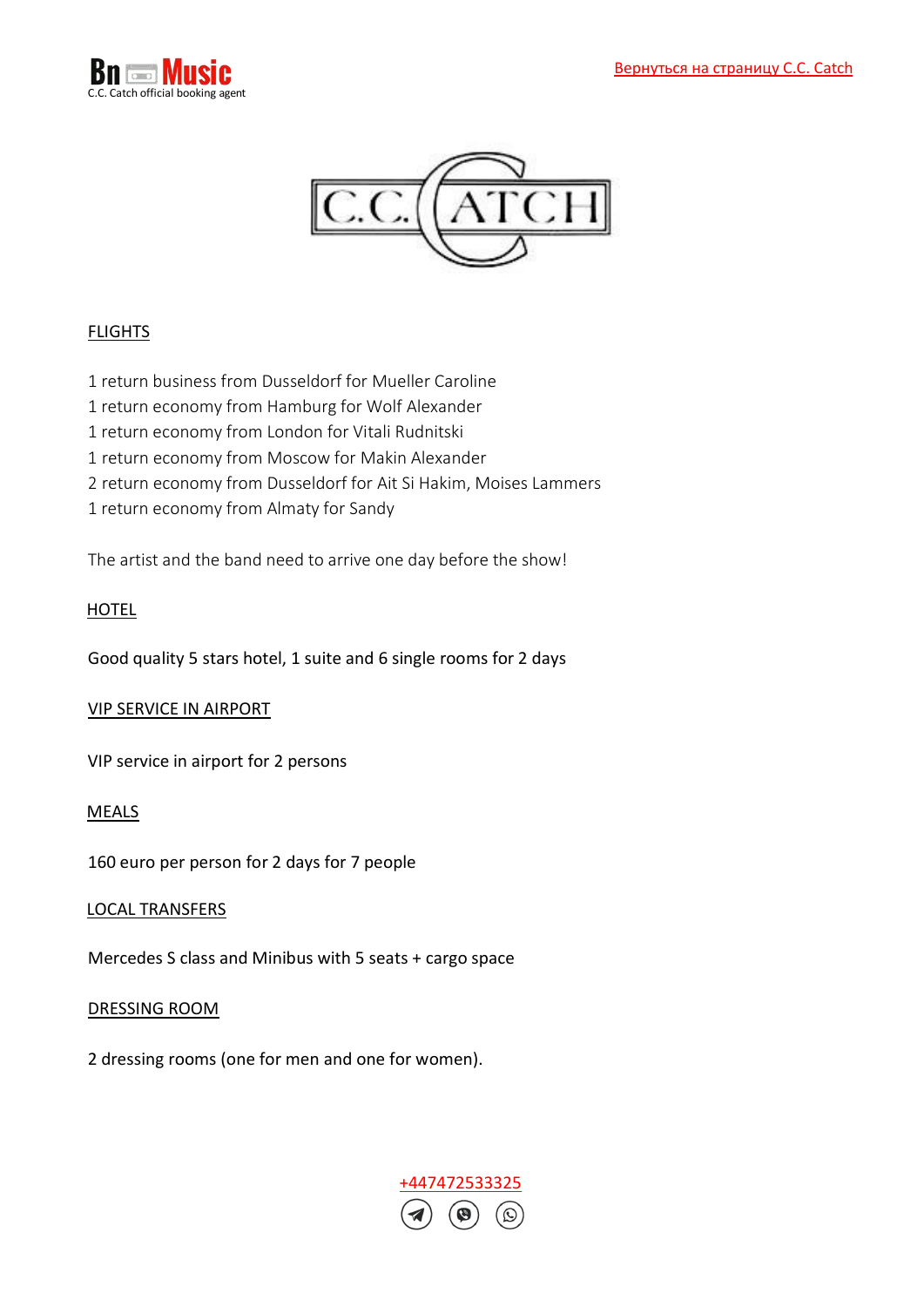



# FLIGHTS

- 1 return business from Dusseldorf for Mueller Caroline
- 1 return economy from Hamburg for Wolf Alexander
- 1 return economy from London for Vitali Rudnitski
- 1 return economy from Moscow for Makin Alexander
- 2 return economy from Dusseldorf for Ait Si Hakim, Moises Lammers
- 1 return economy from Almaty for Sandy

The artist and the band need to arrive one day before the show!

### HOTEL

Good quality 5 stars hotel, 1 suite and 6 single rooms for 2 days

#### VIP SERVICE IN AIRPORT

VIP service in airport for 2 persons

#### MEALS

160 euro per person for 2 days for 7 people

#### LOCAL TRANSFERS

Mercedes S class and Minibus with 5 seats + cargo space

#### DRESSING ROOM

2 dressing rooms (one for men and one for women).